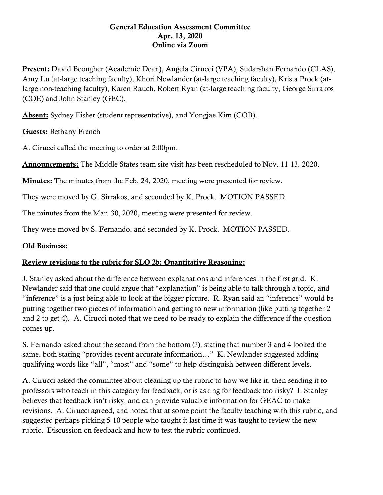### General Education Assessment Committee Apr. 13, 2020 Online via Zoom

Present: David Beougher (Academic Dean), Angela Cirucci (VPA), Sudarshan Fernando (CLAS), Amy Lu (at-large teaching faculty), Khori Newlander (at-large teaching faculty), Krista Prock (atlarge non-teaching faculty), Karen Rauch, Robert Ryan (at-large teaching faculty, George Sirrakos (COE) and John Stanley (GEC).

Absent: Sydney Fisher (student representative), and Yongjae Kim (COB).

Guests: Bethany French

A. Cirucci called the meeting to order at 2:00pm.

Announcements: The Middle States team site visit has been rescheduled to Nov. 11-13, 2020.

**Minutes:** The minutes from the Feb. 24, 2020, meeting were presented for review.

They were moved by G. Sirrakos, and seconded by K. Prock. MOTION PASSED.

The minutes from the Mar. 30, 2020, meeting were presented for review.

They were moved by S. Fernando, and seconded by K. Prock. MOTION PASSED.

### Old Business:

# Review revisions to the rubric for SLO 2b: Quantitative Reasoning:

J. Stanley asked about the difference between explanations and inferences in the first grid. K. Newlander said that one could argue that "explanation" is being able to talk through a topic, and "inference" is a just being able to look at the bigger picture. R. Ryan said an "inference" would be putting together two pieces of information and getting to new information (like putting together 2 and 2 to get 4). A. Cirucci noted that we need to be ready to explain the difference if the question comes up.

S. Fernando asked about the second from the bottom (?), stating that number 3 and 4 looked the same, both stating "provides recent accurate information…" K. Newlander suggested adding qualifying words like "all", "most" and "some" to help distinguish between different levels.

A. Cirucci asked the committee about cleaning up the rubric to how we like it, then sending it to professors who teach in this category for feedback, or is asking for feedback too risky? J. Stanley believes that feedback isn't risky, and can provide valuable information for GEAC to make revisions. A. Cirucci agreed, and noted that at some point the faculty teaching with this rubric, and suggested perhaps picking 5-10 people who taught it last time it was taught to review the new rubric. Discussion on feedback and how to test the rubric continued.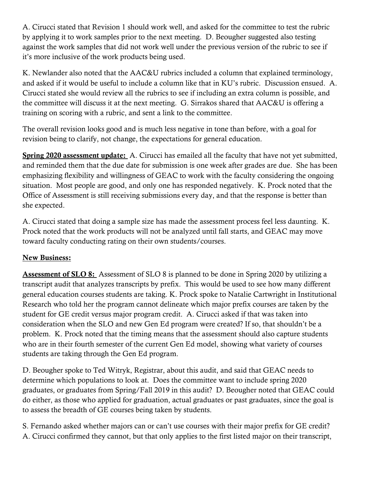A. Cirucci stated that Revision 1 should work well, and asked for the committee to test the rubric by applying it to work samples prior to the next meeting. D. Beougher suggested also testing against the work samples that did not work well under the previous version of the rubric to see if it's more inclusive of the work products being used.

K. Newlander also noted that the AAC&U rubrics included a column that explained terminology, and asked if it would be useful to include a column like that in KU's rubric. Discussion ensued. A. Cirucci stated she would review all the rubrics to see if including an extra column is possible, and the committee will discuss it at the next meeting. G. Sirrakos shared that AAC&U is offering a training on scoring with a rubric, and sent a link to the committee.

The overall revision looks good and is much less negative in tone than before, with a goal for revision being to clarify, not change, the expectations for general education.

Spring 2020 assessment update: A. Cirucci has emailed all the faculty that have not yet submitted, and reminded them that the due date for submission is one week after grades are due. She has been emphasizing flexibility and willingness of GEAC to work with the faculty considering the ongoing situation. Most people are good, and only one has responded negatively. K. Prock noted that the Office of Assessment is still receiving submissions every day, and that the response is better than she expected.

A. Cirucci stated that doing a sample size has made the assessment process feel less daunting. K. Prock noted that the work products will not be analyzed until fall starts, and GEAC may move toward faculty conducting rating on their own students/courses.

# New Business:

Assessment of SLO 8: Assessment of SLO 8 is planned to be done in Spring 2020 by utilizing a transcript audit that analyzes transcripts by prefix. This would be used to see how many different general education courses students are taking. K. Prock spoke to Natalie Cartwright in Institutional Research who told her the program cannot delineate which major prefix courses are taken by the student for GE credit versus major program credit. A. Cirucci asked if that was taken into consideration when the SLO and new Gen Ed program were created? If so, that shouldn't be a problem. K. Prock noted that the timing means that the assessment should also capture students who are in their fourth semester of the current Gen Ed model, showing what variety of courses students are taking through the Gen Ed program.

D. Beougher spoke to Ted Witryk, Registrar, about this audit, and said that GEAC needs to determine which populations to look at. Does the committee want to include spring 2020 graduates, or graduates from Spring/Fall 2019 in this audit? D. Beougher noted that GEAC could do either, as those who applied for graduation, actual graduates or past graduates, since the goal is to assess the breadth of GE courses being taken by students.

S. Fernando asked whether majors can or can't use courses with their major prefix for GE credit? A. Cirucci confirmed they cannot, but that only applies to the first listed major on their transcript,